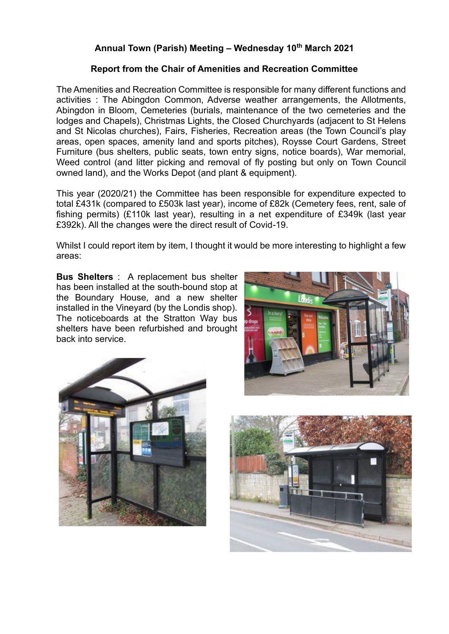## **Annual Town (Parish) Meeting – Wednesday 10th March 2021**

## **Report from the Chair of Amenities and Recreation Committee**

The Amenities and Recreation Committee is responsible for many different functions and activities : The Abingdon Common, Adverse weather arrangements, the Allotments, Abingdon in Bloom, Cemeteries (burials, maintenance of the two cemeteries and the lodges and Chapels), Christmas Lights, the Closed Churchyards (adjacent to St Helens and St Nicolas churches), Fairs, Fisheries, Recreation areas (the Town Council's play areas, open spaces, amenity land and sports pitches), Roysse Court Gardens, Street Furniture (bus shelters, public seats, town entry signs, notice boards), War memorial, Weed control (and litter picking and removal of fly posting but only on Town Council owned land), and the Works Depot (and plant & equipment).

This year (2020/21) the Committee has been responsible for expenditure expected to total £431k (compared to £503k last year), income of £82k (Cemetery fees, rent, sale of fishing permits) (£110k last year), resulting in a net expenditure of £349k (last year £392k). All the changes were the direct result of Covid-19.

Whilst I could report item by item. I thought it would be more interesting to highlight a few areas:

**Bus Shelters** : A replacement bus shelter has been installed at the south-bound stop at the Boundary House, and a new shelter installed in the Vineyard (by the Londis shop). The noticeboards at the Stratton Way bus shelters have been refurbished and brought back into service.





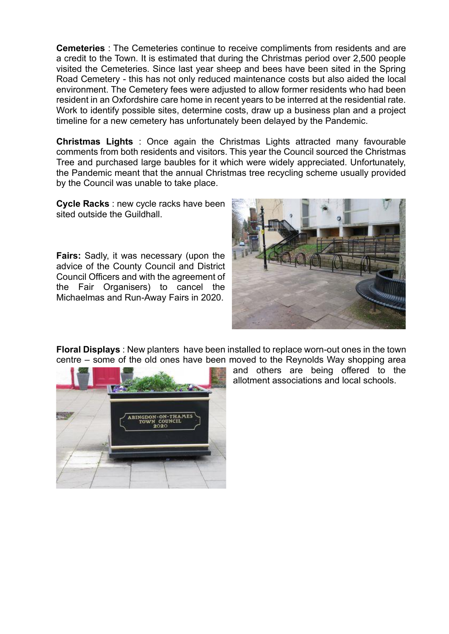**Cemeteries** : The Cemeteries continue to receive compliments from residents and are a credit to the Town. It is estimated that during the Christmas period over 2,500 people visited the Cemeteries. Since last year sheep and bees have been sited in the Spring Road Cemetery - this has not only reduced maintenance costs but also aided the local environment. The Cemetery fees were adjusted to allow former residents who had been resident in an Oxfordshire care home in recent years to be interred at the residential rate. Work to identify possible sites, determine costs, draw up a business plan and a project timeline for a new cemetery has unfortunately been delayed by the Pandemic.

**Christmas Lights** : Once again the Christmas Lights attracted many favourable comments from both residents and visitors. This year the Council sourced the Christmas Tree and purchased large baubles for it which were widely appreciated. Unfortunately, the Pandemic meant that the annual Christmas tree recycling scheme usually provided by the Council was unable to take place.

**Cycle Racks** : new cycle racks have been sited outside the Guildhall.

**Fairs:** Sadly, it was necessary (upon the advice of the County Council and District Council Officers and with the agreement of the Fair Organisers) to cancel the Michaelmas and Run-Away Fairs in 2020.



**Floral Displays** : New planters have been installed to replace worn-out ones in the town centre – some of the old ones have been moved to the Reynolds Way shopping area



and others are being offered to the allotment associations and local schools.